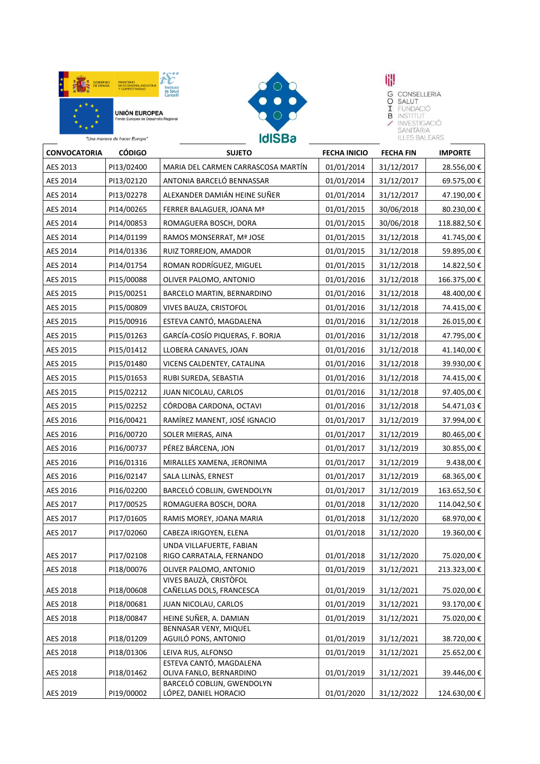





**UP**<br> **G** CONSELLERIA<br> **T** FUNDACIÓ<br> **B** INSTITUT<br> **A** INVESTIGACIÓ<br>
SANITÀRIA<br>
ILLES RALEARS

| "Una manera de hacer Europa" |               | <b>IdISBa</b>                                        |                     | <b>ILLES BALEARS</b> |                |
|------------------------------|---------------|------------------------------------------------------|---------------------|----------------------|----------------|
| <b>CONVOCATORIA</b>          | <b>CÓDIGO</b> | <b>SUJETO</b>                                        | <b>FECHA INICIO</b> | <b>FECHA FIN</b>     | <b>IMPORTE</b> |
| AES 2013                     | PI13/02400    | MARIA DEL CARMEN CARRASCOSA MARTÍN                   | 01/01/2014          | 31/12/2017           | 28.556,00 €    |
| AES 2014                     | PI13/02120    | ANTONIA BARCELÓ BENNASSAR                            | 01/01/2014          | 31/12/2017           | 69.575,00€     |
| AES 2014                     | PI13/02278    | ALEXANDER DAMIÁN HEINE SUÑER                         | 01/01/2014          | 31/12/2017           | 47.190,00€     |
| AES 2014                     | PI14/00265    | FERRER BALAGUER, JOANA Mª                            | 01/01/2015          | 30/06/2018           | 80.230,00€     |
| AES 2014                     | PI14/00853    | ROMAGUERA BOSCH, DORA                                | 01/01/2015          | 30/06/2018           | 118.882,50€    |
| AES 2014                     | PI14/01199    | RAMOS MONSERRAT, Mª JOSE                             | 01/01/2015          | 31/12/2018           | 41.745,00€     |
| AES 2014                     | PI14/01336    | RUIZ TORREJON, AMADOR                                | 01/01/2015          | 31/12/2018           | 59.895,00€     |
| AES 2014                     | PI14/01754    | ROMAN RODRÍGUEZ, MIGUEL                              | 01/01/2015          | 31/12/2018           | 14.822,50 €    |
| AES 2015                     | PI15/00088    | OLIVER PALOMO, ANTONIO                               | 01/01/2016          | 31/12/2018           | 166.375,00€    |
| AES 2015                     | PI15/00251    | BARCELO MARTIN, BERNARDINO                           | 01/01/2016          | 31/12/2018           | 48.400,00€     |
| AES 2015                     | PI15/00809    | VIVES BAUZA, CRISTOFOL                               | 01/01/2016          | 31/12/2018           | 74.415,00€     |
| AES 2015                     | PI15/00916    | ESTEVA CANTÓ, MAGDALENA                              | 01/01/2016          | 31/12/2018           | 26.015,00€     |
| AES 2015                     | PI15/01263    | GARCÍA-COSÍO PIQUERAS, F. BORJA                      | 01/01/2016          | 31/12/2018           | 47.795,00€     |
| AES 2015                     | PI15/01412    | LLOBERA CANAVES, JOAN                                | 01/01/2016          | 31/12/2018           | 41.140,00€     |
| AES 2015                     | PI15/01480    | VICENS CALDENTEY, CATALINA                           | 01/01/2016          | 31/12/2018           | 39.930,00€     |
| AES 2015                     | PI15/01653    | RUBI SUREDA, SEBASTIA                                | 01/01/2016          | 31/12/2018           | 74.415,00 €    |
| AES 2015                     | PI15/02212    | JUAN NICOLAU, CARLOS                                 | 01/01/2016          | 31/12/2018           | 97.405,00€     |
| AES 2015                     | PI15/02252    | CÓRDOBA CARDONA, OCTAVI                              | 01/01/2016          | 31/12/2018           | 54.471,03€     |
| AES 2016                     | PI16/00421    | RAMÍREZ MANENT, JOSÉ IGNACIO                         | 01/01/2017          | 31/12/2019           | 37.994,00€     |
| AES 2016                     | PI16/00720    | SOLER MIERAS, AINA                                   | 01/01/2017          | 31/12/2019           | 80.465,00€     |
| AES 2016                     | PI16/00737    | PÉREZ BÁRCENA, JON                                   | 01/01/2017          | 31/12/2019           | 30.855,00€     |
| AES 2016                     | PI16/01316    | MIRALLES XAMENA, JERONIMA                            | 01/01/2017          | 31/12/2019           | 9.438,00€      |
| AES 2016                     | PI16/02147    | SALA LLINÀS, ERNEST                                  | 01/01/2017          | 31/12/2019           | 68.365,00€     |
| AES 2016                     | PI16/02200    | BARCELÓ COBLIJN, GWENDOLYN                           | 01/01/2017          | 31/12/2019           | 163.652,50€    |
| AES 2017                     | PI17/00525    | ROMAGUERA BOSCH, DORA                                | 01/01/2018          | 31/12/2020           | 114.042,50€    |
| AES 2017                     | PI17/01605    | RAMIS MOREY, JOANA MARIA                             | 01/01/2018          | 31/12/2020           | 68.970,00€     |
| AES 2017                     | PI17/02060    | CABEZA IRIGOYEN, ELENA                               | 01/01/2018          | 31/12/2020           | 19.360,00€     |
| AES 2017                     | PI17/02108    | UNDA VILLAFUERTE, FABIAN<br>RIGO CARRATALA, FERNANDO | 01/01/2018          | 31/12/2020           | 75.020,00€     |
| AES 2018                     | PI18/00076    | OLIVER PALOMO, ANTONIO                               | 01/01/2019          | 31/12/2021           | 213.323,00€    |
| AES 2018                     | PI18/00608    | VIVES BAUZÀ, CRISTÒFOL<br>CAÑELLAS DOLS, FRANCESCA   | 01/01/2019          | 31/12/2021           | 75.020,00€     |
| AES 2018                     | PI18/00681    | JUAN NICOLAU, CARLOS                                 | 01/01/2019          | 31/12/2021           | 93.170,00€     |
| AES 2018                     | PI18/00847    | HEINE SUÑER, A. DAMIAN                               | 01/01/2019          | 31/12/2021           | 75.020,00 €    |
| AES 2018                     | PI18/01209    | BENNASAR VENY, MIQUEL<br>AGUILÓ PONS, ANTONIO        | 01/01/2019          | 31/12/2021           | 38.720,00€     |
| AES 2018                     | PI18/01306    | LEIVA RUS, ALFONSO                                   | 01/01/2019          | 31/12/2021           | 25.652,00€     |
| AES 2018                     | PI18/01462    | ESTEVA CANTÓ, MAGDALENA<br>OLIVA FANLO, BERNARDINO   | 01/01/2019          | 31/12/2021           | 39.446,00 €    |
| AES 2019                     | PI19/00002    | BARCELÓ COBLIJN, GWENDOLYN<br>LÓPEZ, DANIEL HORACIO  | 01/01/2020          | 31/12/2022           | 124.630,00 €   |